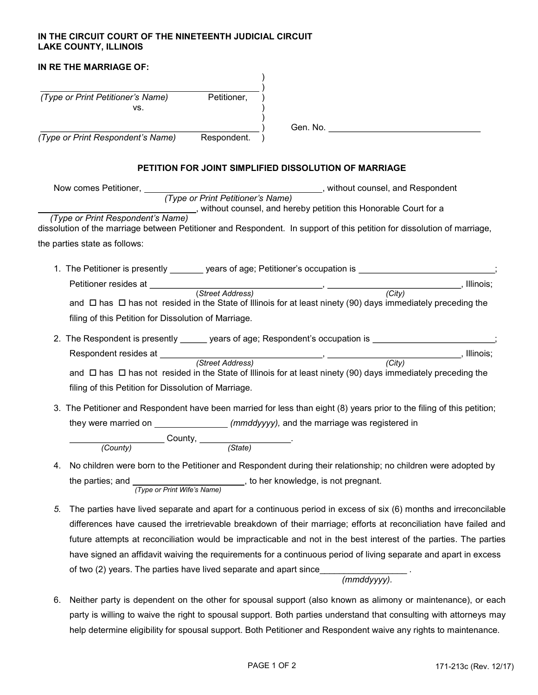## IN THE CIRCUIT COURT OF THE NINETEENTH JUDICIAL CIRCUIT LAKE COUNTY, ILLINOIS

| IN RE THE MARRIAGE OF:                                                                                 |             |                                                                                                                                                                                                                                     |
|--------------------------------------------------------------------------------------------------------|-------------|-------------------------------------------------------------------------------------------------------------------------------------------------------------------------------------------------------------------------------------|
|                                                                                                        |             |                                                                                                                                                                                                                                     |
| (Type or Print Petitioner's Name) Petitioner,<br>VS.                                                   |             |                                                                                                                                                                                                                                     |
|                                                                                                        |             | Gen. No. <b>Example 20</b> Sensitive Contract of the Contract of the Contract of the Contract of the Contract of the Contract of the Contract of the Contract of the Contract of the Contract of the Contract of the Contract of th |
| (Type or Print Respondent's Name)                                                                      | Respondent. |                                                                                                                                                                                                                                     |
|                                                                                                        |             | PETITION FOR JOINT SIMPLIFIED DISSOLUTION OF MARRIAGE                                                                                                                                                                               |
|                                                                                                        |             | Now comes Petitioner, <i>(Type or Print Petitioner's Name)</i> , without counsel, and Respondent ( <i>Type or Print Petitioner's Name</i> )                                                                                         |
|                                                                                                        |             |                                                                                                                                                                                                                                     |
|                                                                                                        |             | (Type or Print Respondent's Name)<br>(Type or Print Respondent's Name)                                                                                                                                                              |
|                                                                                                        |             | dissolution of the marriage between Petitioner and Respondent. In support of this petition for dissolution of marriage,                                                                                                             |
| the parties state as follows:                                                                          |             |                                                                                                                                                                                                                                     |
|                                                                                                        |             |                                                                                                                                                                                                                                     |
|                                                                                                        |             | 1. The Petitioner is presently _______ years of age; Petitioner's occupation is _______________________;                                                                                                                            |
|                                                                                                        |             |                                                                                                                                                                                                                                     |
|                                                                                                        |             |                                                                                                                                                                                                                                     |
|                                                                                                        |             | and $\Box$ has $\Box$ has not resided in the State of Illinois for at least ninety (90) days immediately preceding the                                                                                                              |
| filing of this Petition for Dissolution of Marriage.                                                   |             |                                                                                                                                                                                                                                     |
|                                                                                                        |             | 2. The Respondent is presently ______ years of age; Respondent's occupation is ____________________;                                                                                                                                |
|                                                                                                        |             |                                                                                                                                                                                                                                     |
|                                                                                                        |             |                                                                                                                                                                                                                                     |
|                                                                                                        |             | and $\Box$ has $\Box$ has not resided in the State of Illinois for at least ninety (90) days immediately preceding the                                                                                                              |
| filing of this Petition for Dissolution of Marriage.                                                   |             |                                                                                                                                                                                                                                     |
|                                                                                                        |             |                                                                                                                                                                                                                                     |
|                                                                                                        |             | 3. The Petitioner and Respondent have been married for less than eight (8) years prior to the filing of this petition;                                                                                                              |
|                                                                                                        |             | they were married on ___________________(mmddyyyy), and the marriage was registered in                                                                                                                                              |
| $\frac{1}{(Country)}$ County, $\frac{1}{(State)}$ .                                                    |             |                                                                                                                                                                                                                                     |
|                                                                                                        |             |                                                                                                                                                                                                                                     |
| 4.                                                                                                     |             | No children were born to the Petitioner and Respondent during their relationship; no children were adopted by                                                                                                                       |
| the parties; and $\frac{1}{(Type \ or \ Print \ Write's \ Name)}$ , to her knowledge, is not pregnant. |             |                                                                                                                                                                                                                                     |
|                                                                                                        |             |                                                                                                                                                                                                                                     |
| 5.                                                                                                     |             | The parties have lived separate and apart for a continuous period in excess of six (6) months and irreconcilable                                                                                                                    |
|                                                                                                        |             |                                                                                                                                                                                                                                     |

differences have caused the irretrievable breakdown of their marriage; efforts at reconciliation have failed and future attempts at reconciliation would be impracticable and not in the best interest of the parties. The parties have signed an affidavit waiving the requirements for a continuous period of living separate and apart in excess of two (2) years. The parties have lived separate and apart since (mmddyyyy).

6. Neither party is dependent on the other for spousal support (also known as alimony or maintenance), or each party is willing to waive the right to spousal support. Both parties understand that consulting with attorneys may help determine eligibility for spousal support. Both Petitioner and Respondent waive any rights to maintenance.